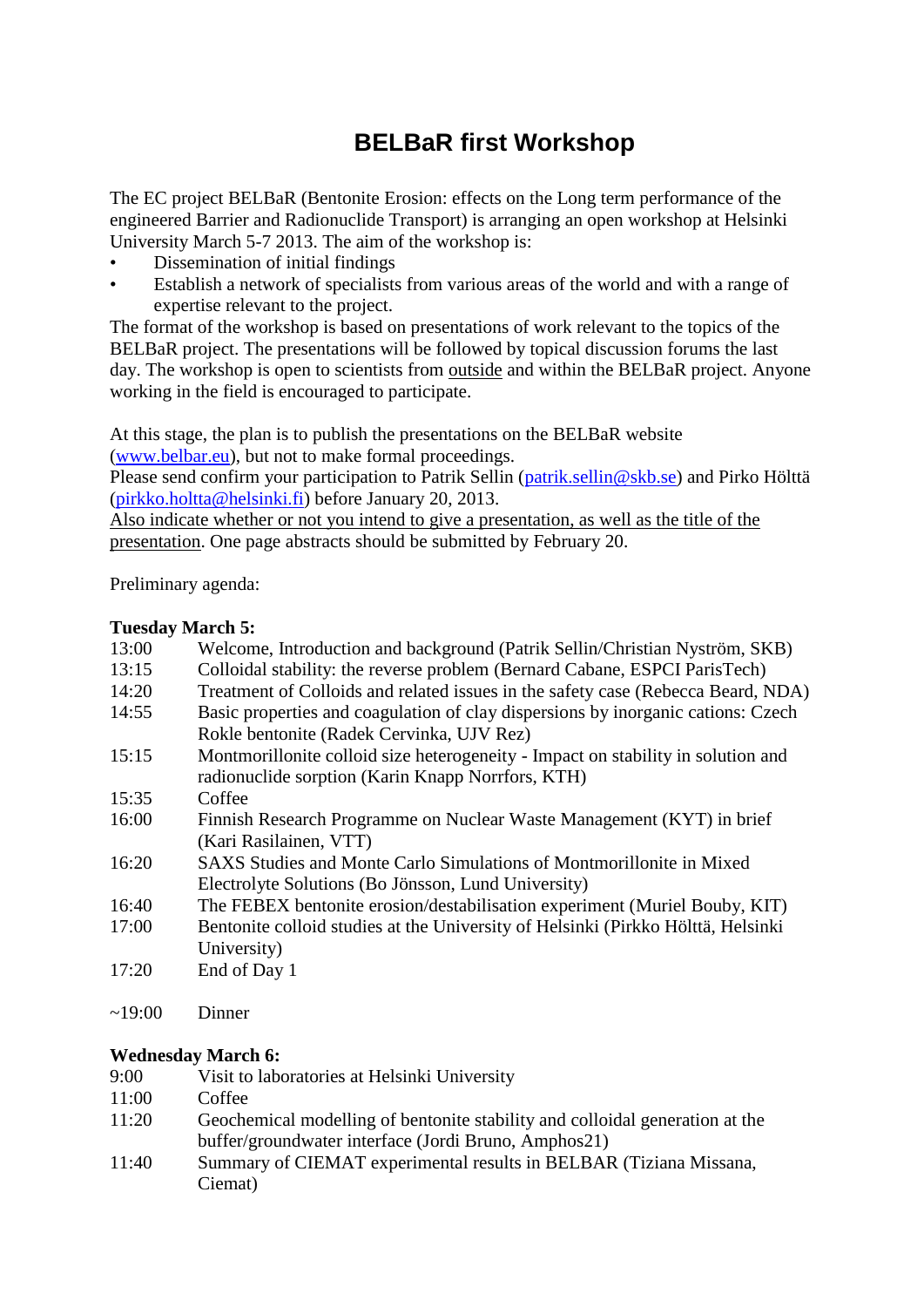## **BELBaR first Workshop**

The EC project BELBaR (Bentonite Erosion: effects on the Long term performance of the engineered Barrier and Radionuclide Transport) is arranging an open workshop at Helsinki University March 5-7 2013. The aim of the workshop is:

- Dissemination of initial findings
- Establish a network of specialists from various areas of the world and with a range of expertise relevant to the project.

The format of the workshop is based on presentations of work relevant to the topics of the BELBaR project. The presentations will be followed by topical discussion forums the last day. The workshop is open to scientists from outside and within the BELBaR project. Anyone working in the field is encouraged to participate.

At this stage, the plan is to publish the presentations on the BELBaR website [\(www.belbar.eu\)](http://www.belbar.eu/), but not to make formal proceedings.

Please send confirm your participation to Patrik Sellin [\(patrik.sellin@skb.se\)](mailto:patrik.sellin@skb.se) and Pirko Hölttä [\(pirkko.holtta@helsinki.fi\)](mailto:pirkko.holtta@helsinki.fi) before January 20, 2013.

Also indicate whether or not you intend to give a presentation, as well as the title of the presentation. One page abstracts should be submitted by February 20.

Preliminary agenda:

## **Tuesday March 5:**

| 1 ucouu 1 | www.ch                                                                           |
|-----------|----------------------------------------------------------------------------------|
| 13:00     | Welcome, Introduction and background (Patrik Sellin/Christian Nyström, SKB)      |
| 13:15     | Colloidal stability: the reverse problem (Bernard Cabane, ESPCI ParisTech)       |
| 14:20     | Treatment of Colloids and related issues in the safety case (Rebecca Beard, NDA) |
| 14:55     | Basic properties and coagulation of clay dispersions by inorganic cations: Czech |
|           | Rokle bentonite (Radek Cervinka, UJV Rez)                                        |
| 15:15     | Montmorillonite colloid size heterogeneity - Impact on stability in solution and |
|           | radionuclide sorption (Karin Knapp Norrfors, KTH)                                |
| 15:35     | Coffee                                                                           |
| 16:00     | Finnish Research Programme on Nuclear Waste Management (KYT) in brief            |
|           | (Kari Rasilainen, VTT)                                                           |
| 16:20     | SAXS Studies and Monte Carlo Simulations of Montmorillonite in Mixed             |
|           | Electrolyte Solutions (Bo Jönsson, Lund University)                              |
| 16:40     | The FEBEX bentonite erosion/destabilisation experiment (Muriel Bouby, KIT)       |
| 17:00     | Bentonite colloid studies at the University of Helsinki (Pirkko Hölttä, Helsinki |
|           | University)                                                                      |
| 17:20     | End of Day 1                                                                     |
|           |                                                                                  |

 $\sim$ 19:00 Dinner

## **Wednesday March 6:**

- 9:00 Visit to laboratories at Helsinki University
- 11:00 Coffee
- 11:20 Geochemical modelling of bentonite stability and colloidal generation at the buffer/groundwater interface (Jordi Bruno, Amphos21)
- 11:40 Summary of CIEMAT experimental results in BELBAR (Tiziana Missana, Ciemat)